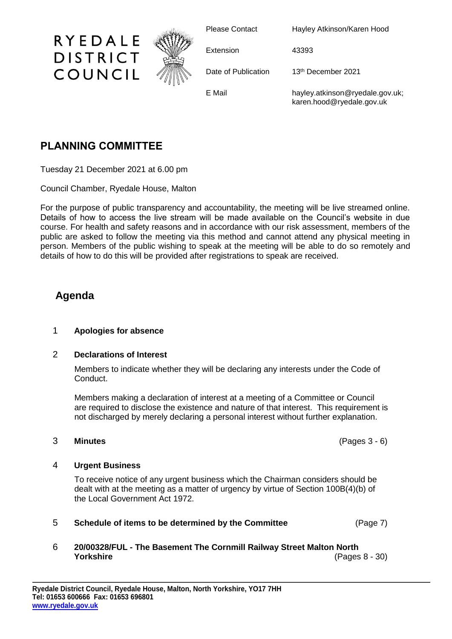

Please Contact Hayley Atkinson/Karen Hood

Extension 43393

Date of Publication 13<sup>th</sup> December 2021

E Mail hayley.atkinson@ryedale.gov.uk; karen.hood@ryedale.gov.uk

# **PLANNING COMMITTEE**

Tuesday 21 December 2021 at 6.00 pm

Council Chamber, Ryedale House, Malton

For the purpose of public transparency and accountability, the meeting will be live streamed online. Details of how to access the live stream will be made available on the Council's website in due course. For health and safety reasons and in accordance with our risk assessment, members of the public are asked to follow the meeting via this method and cannot attend any physical meeting in person. Members of the public wishing to speak at the meeting will be able to do so remotely and details of how to do this will be provided after registrations to speak are received.

## **Agenda**

### 1 **Apologies for absence**

#### 2 **Declarations of Interest**

Members to indicate whether they will be declaring any interests under the Code of Conduct.

Members making a declaration of interest at a meeting of a Committee or Council are required to disclose the existence and nature of that interest. This requirement is not discharged by merely declaring a personal interest without further explanation.

#### 3 **Minutes** (Pages 3 - 6)

#### 4 **Urgent Business**

To receive notice of any urgent business which the Chairman considers should be dealt with at the meeting as a matter of urgency by virtue of Section 100B(4)(b) of the Local Government Act 1972.

- 5 **Schedule of items to be determined by the Committee** (Page 7)
- 6 **20/00328/FUL - The Basement The Cornmill Railway Street Malton North Yorkshire** (Pages 8 - 30)